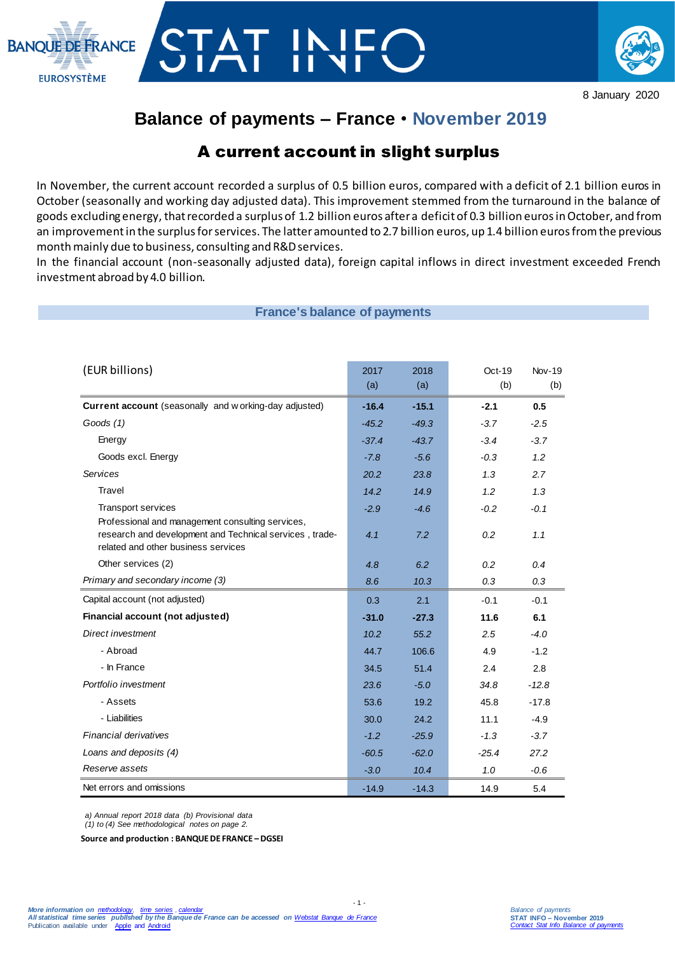



# **Balance of payments – France** • **November 2019**

# A current account in slight surplus

In November, the current account recorded a surplus of 0.5 billion euros, compared with a deficit of 2.1 billion euros in October (seasonally and working day adjusted data). This improvement stemmed from the turnaround in the balance of goods excluding energy, that recorded a surplus of 1.2 billion euros after a deficit of 0.3 billion eurosin October, and from an improvement in the surplus for services. The latter amounted to 2.7 billion euros, up 1.4 billion euros from the previous month mainly due to business, consulting and R&D services.

In the financial account (non-seasonally adjusted data), foreign capital inflows in direct investment exceeded French investment abroad by 4.0 billion.

**France's balance of payments** 

| (EUR billions)                                                                                                                                     | 2017<br>(a) | 2018<br>(a) | Oct-19<br>(b) | $Nov-19$<br>(b) |
|----------------------------------------------------------------------------------------------------------------------------------------------------|-------------|-------------|---------------|-----------------|
| Current account (seasonally and w orking-day adjusted)                                                                                             | $-16.4$     | $-15.1$     | $-2.1$        | 0.5             |
| Goods (1)                                                                                                                                          | $-45.2$     | $-49.3$     | $-3.7$        | $-2.5$          |
| Energy                                                                                                                                             | $-37.4$     | $-43.7$     | $-3.4$        | $-3.7$          |
| Goods excl. Energy                                                                                                                                 | $-7.8$      | $-5.6$      | $-0.3$        | 1.2             |
| <b>Services</b>                                                                                                                                    | 20.2        | 23.8        | 1.3           | 2.7             |
| Travel                                                                                                                                             | 14.2        | 14.9        | 1.2           | 1.3             |
| Transport services                                                                                                                                 | $-2.9$      | $-4.6$      | $-0.2$        | $-0.1$          |
| Professional and management consulting services,<br>research and development and Technical services, trade-<br>related and other business services | 4.1         | 7.2         | 0.2           | 1.1             |
| Other services (2)                                                                                                                                 | 4.8         | 6.2         | 0.2           | 0.4             |
| Primary and secondary income (3)                                                                                                                   | 8.6         | 10.3        | 0.3           | 0.3             |
| Capital account (not adjusted)                                                                                                                     | 0.3         | 2.1         | $-0.1$        | $-0.1$          |
| Financial account (not adjusted)                                                                                                                   | $-31.0$     | $-27.3$     | 11.6          | 6.1             |
| Direct investment                                                                                                                                  | 10.2        | 55.2        | 2.5           | $-4.0$          |
| - Abroad                                                                                                                                           | 44.7        | 106.6       | 4.9           | $-1.2$          |
| - In France                                                                                                                                        | 34.5        | 51.4        | 2.4           | 2.8             |
| Portfolio investment                                                                                                                               | 23.6        | $-5.0$      | 34.8          | $-12.8$         |
| - Assets                                                                                                                                           | 53.6        | 19.2        | 45.8          | $-17.8$         |
| - Liabilities                                                                                                                                      | 30.0        | 24.2        | 11.1          | $-4.9$          |
| Financial derivatives                                                                                                                              | $-1.2$      | $-25.9$     | $-1.3$        | $-3.7$          |
| Loans and deposits (4)                                                                                                                             | $-60.5$     | $-62.0$     | $-25.4$       | 27.2            |
| Reserve assets                                                                                                                                     | $-3.0$      | 10.4        | 1.0           | $-0.6$          |
| Net errors and omissions                                                                                                                           | $-14.9$     | $-14.3$     | 14.9          | 5.4             |

- 1 -

*a) Annual report 2018 data (b) Provisional data*

*(1) to (4) See methodological notes on page 2.*

**Source and production : BANQUE DE FRANCE –DGSEI**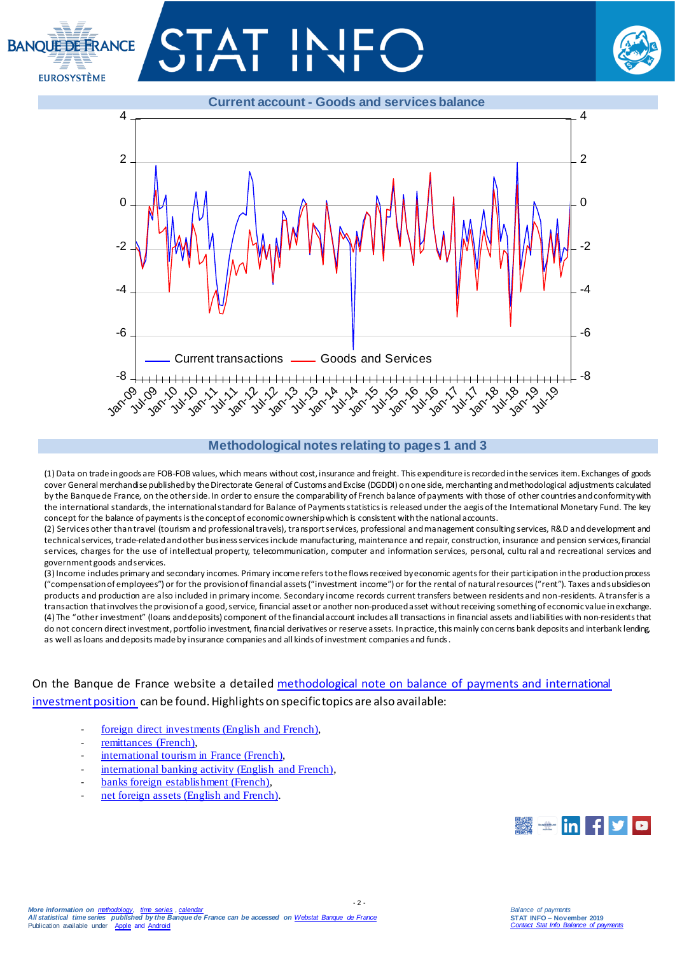# **BANOUE DE ERANCE EUROSYSTÈME**





#### **Methodological notes relating to pages 1 and 3**

(1) Data on trade in goods are FOB-FOB values, which means without cost, insurance and freight. This expenditure is recorded in the services item. Exchanges of goods cover General merchandise published by the Directorate General of Customs and Excise (DGDDI) on one side, merchanting and methodological adjustments calculated by the Banque de France, on the other side. In order to ensure the comparability of French balance of payments with those of other countries and conformity with the international standards, the international standard for Balance of Payments statistics is released under the aegis of the International Monetary Fund. The key concept for the balance of payments is the concept of economic ownership which is consistent with the national accounts.

(2) Services other than travel (tourism and professional travels), transport services, professional and management consulting services, R&D and development and technical services, trade-related and other business services include manufacturing, maintenance and repair, construction, insurance and pension services, financial services, charges for the use of intellectual property, telecommunication, computer and information services, personal, cultu ral and recreational services and government goods and services.

(3) Income includes primary and secondary incomes. Primary income refers to the flows received by economic agents for their participation in the production process ("compensation of employees") or for the provision of financial assets ("investment income") or for the rental of natural resources ("rent"). Taxes and subsidies on products and production are also included in primary income. Secondary income records current transfers between residents and non-residents. A transfer is a transaction that involves the provision of a good, service, financial asset or another non-produced asset without receiving something of economic value in exchange. (4) The "other investment" (loans and deposits) component of the financial account includes all transactions in financial assets and liabilities with non-residents that do not concern direct investment, portfolio investment, financial derivatives or reserve assets. In practice, this mainly concerns bank deposits and interbank lending, as well as loans and deposits made by insurance companies and all kinds of investment companies and funds.

 $-2 -$ 

## On the Banque de France website a detailed methodological note on balance of payments and international [investment position](https://www.banque-france.fr/sites/default/files/media/2016/11/16/bdp-gb-methodologie.pdf) can be found. Highlights on specific topics are also available:

- [foreign direct investments \(English and French\),](https://www.banque-france.fr/en/statistics/balance-payments/foreign-direct-investment)
- [remittances \(French\),](https://www.banque-france.fr/statistiques/balance-des-paiements/la-remuneration-des-salaries-et-les-envois-de-fonds-des-travailleurs)
- [international tourism in France](https://www.banque-france.fr/statistiques/balance-des-paiements/les-services-de-voyages) (French),
- [international banking activity \(English and French\),](https://www.banque-france.fr/en/statistics/balance-payments/international-banking-activity)
- [banks foreign establishment \(French\),](https://www.banque-france.fr/statistiques/balance-des-paiements/les-implantations-bancaires-letranger)
- net foreign assets (English and French).